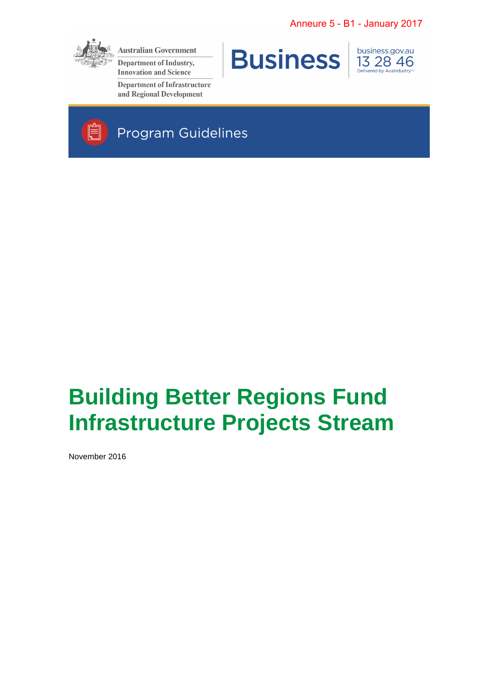

**Australian Government** 

**Department of Industry, Innovation and Science** 

**Department of Infrastructure** and Regional Development



business.gov.au 13 28 46



# **Building Better Regions Fund Infrastructure Projects Stream**

November 2016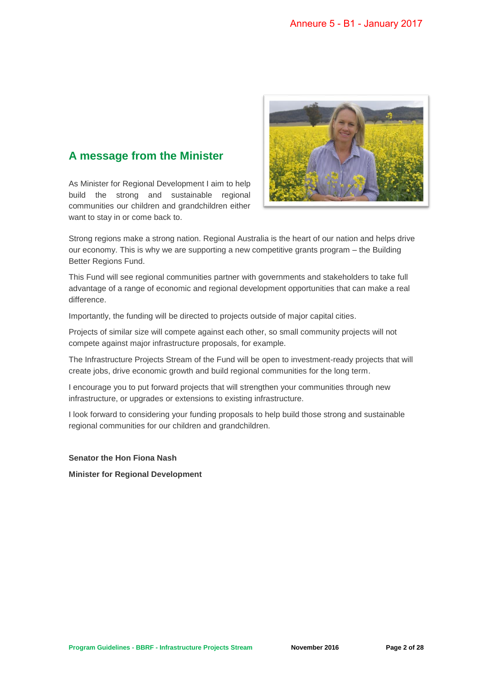### **A message from the Minister**

As Minister for Regional Development I aim to help build the strong and sustainable regional communities our children and grandchildren either want to stay in or come back to.



Strong regions make a strong nation. Regional Australia is the heart of our nation and helps drive our economy. This is why we are supporting a new competitive grants program – the Building Better Regions Fund.

This Fund will see regional communities partner with governments and stakeholders to take full advantage of a range of economic and regional development opportunities that can make a real difference.

Importantly, the funding will be directed to projects outside of major capital cities.

Projects of similar size will compete against each other, so small community projects will not compete against major infrastructure proposals, for example.

The Infrastructure Projects Stream of the Fund will be open to investment-ready projects that will create jobs, drive economic growth and build regional communities for the long term.

I encourage you to put forward projects that will strengthen your communities through new infrastructure, or upgrades or extensions to existing infrastructure.

I look forward to considering your funding proposals to help build those strong and sustainable regional communities for our children and grandchildren.

**Senator the Hon Fiona Nash**

**Minister for Regional Development**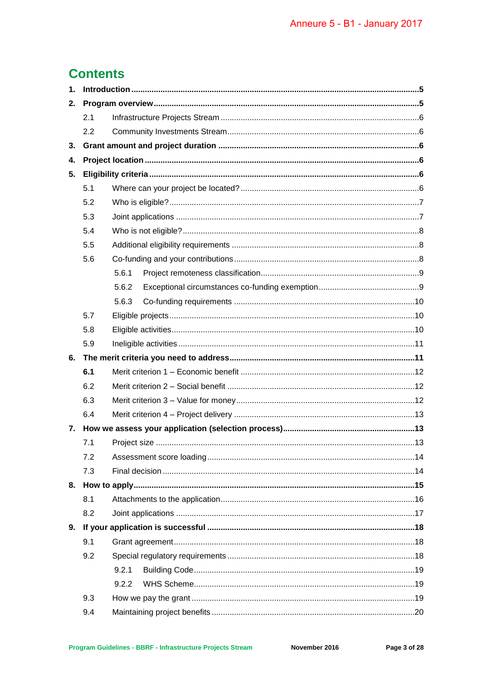# **Contents**

| 1. |     |       |  |  |  |  |
|----|-----|-------|--|--|--|--|
| 2. |     |       |  |  |  |  |
|    | 2.1 |       |  |  |  |  |
|    | 2.2 |       |  |  |  |  |
| 3. |     |       |  |  |  |  |
| 4. |     |       |  |  |  |  |
| 5. |     |       |  |  |  |  |
|    | 5.1 |       |  |  |  |  |
|    | 5.2 |       |  |  |  |  |
|    | 5.3 |       |  |  |  |  |
|    | 5.4 |       |  |  |  |  |
|    | 5.5 |       |  |  |  |  |
|    | 5.6 |       |  |  |  |  |
|    |     | 5.6.1 |  |  |  |  |
|    |     | 5.6.2 |  |  |  |  |
|    |     | 5.6.3 |  |  |  |  |
|    | 5.7 |       |  |  |  |  |
|    | 5.8 |       |  |  |  |  |
|    | 5.9 |       |  |  |  |  |
| 6. |     |       |  |  |  |  |
|    | 6.1 |       |  |  |  |  |
|    | 6.2 |       |  |  |  |  |
|    |     |       |  |  |  |  |
|    | 6.3 |       |  |  |  |  |
|    | 6.4 |       |  |  |  |  |
| 7. |     |       |  |  |  |  |
|    | 7.1 |       |  |  |  |  |
|    | 7.2 |       |  |  |  |  |
|    | 7.3 |       |  |  |  |  |
|    |     |       |  |  |  |  |
|    | 8.1 |       |  |  |  |  |
|    | 8.2 |       |  |  |  |  |
| 9. |     |       |  |  |  |  |
|    | 9.1 |       |  |  |  |  |
|    | 9.2 |       |  |  |  |  |
|    |     | 9.2.1 |  |  |  |  |
|    |     | 9.2.2 |  |  |  |  |
|    | 9.3 |       |  |  |  |  |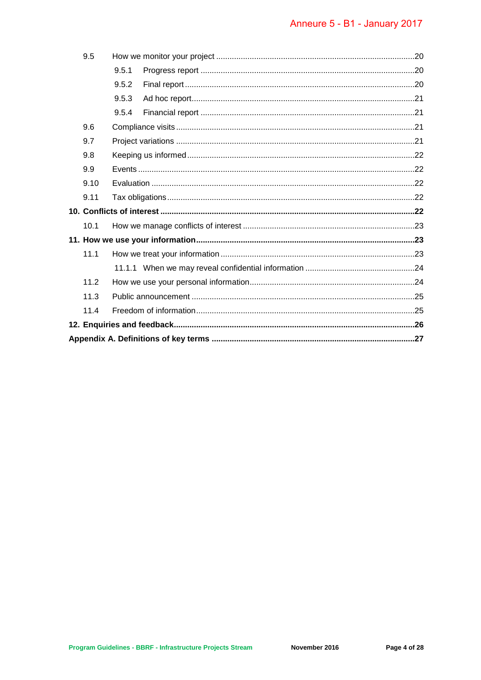| 9.5  |       |  |  |
|------|-------|--|--|
|      | 9.5.1 |  |  |
|      | 9.5.2 |  |  |
|      | 9.5.3 |  |  |
|      | 9.5.4 |  |  |
| 9.6  |       |  |  |
| 9.7  |       |  |  |
| 9.8  |       |  |  |
| 9.9  |       |  |  |
| 9.10 |       |  |  |
| 9.11 |       |  |  |
|      |       |  |  |
| 10.1 |       |  |  |
|      |       |  |  |
| 11.1 |       |  |  |
|      |       |  |  |
| 11.2 |       |  |  |
| 11.3 |       |  |  |
| 11.4 |       |  |  |
|      |       |  |  |
|      |       |  |  |
|      |       |  |  |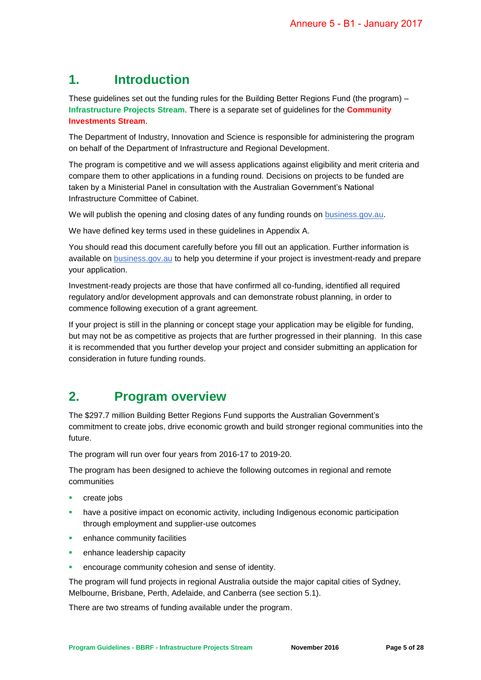## **1. Introduction**

These guidelines set out the funding rules for the Building Better Regions Fund (the program) – **Infrastructure Projects Stream**. There is a separate set of guidelines for the **Community Investments Stream**.

The Department of Industry, Innovation and Science is responsible for administering the program on behalf of the Department of Infrastructure and Regional Development.

The program is competitive and we will assess applications against eligibility and merit criteria and compare them to other applications in a funding round. Decisions on projects to be funded are taken by a Ministerial Panel in consultation with the Australian Government's National Infrastructure Committee of Cabinet.

We will publish the opening and closing dates of any funding rounds on business.gov.au.

We have defined key terms used in these guidelines in Appendix A.

You should read this document carefully before you fill out an application. Further information is available on business.gov.au to help you determine if your project is investment-ready and prepare your application.

Investment-ready projects are those that have confirmed all co-funding, identified all required regulatory and/or development approvals and can demonstrate robust planning, in order to commence following execution of a grant agreement.

If your project is still in the planning or concept stage your application may be eligible for funding, but may not be as competitive as projects that are further progressed in their planning. In this case it is recommended that you further develop your project and consider submitting an application for consideration in future funding rounds.

## **2. Program overview**

The \$297.7 million Building Better Regions Fund supports the Australian Government's commitment to create jobs, drive economic growth and build stronger regional communities into the future.

The program will run over four years from 2016-17 to 2019-20.

The program has been designed to achieve the following outcomes in regional and remote communities

- create jobs
- have a positive impact on economic activity, including Indigenous economic participation through employment and supplier-use outcomes
- **EXECUTE:** enhance community facilities
- enhance leadership capacity
- encourage community cohesion and sense of identity.

The program will fund projects in regional Australia outside the major capital cities of Sydney, Melbourne, Brisbane, Perth, Adelaide, and Canberra (see section [5.1\)](#page-5-0).

There are two streams of funding available under the program.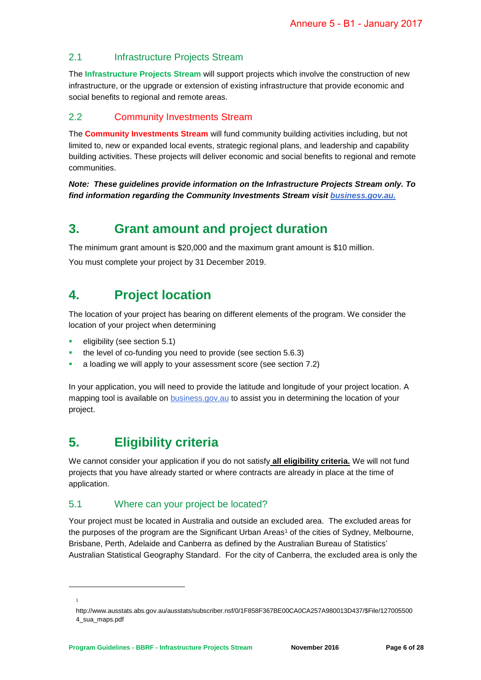#### 2.1 Infrastructure Projects Stream

The **Infrastructure Projects Stream** will support projects which involve the construction of new infrastructure, or the upgrade or extension of existing infrastructure that provide economic and social benefits to regional and remote areas.

#### 2.2 Community Investments Stream

The **Community Investments Stream** will fund community building activities including, but not limited to, new or expanded local events, strategic regional plans, and leadership and capability building activities. These projects will deliver economic and social benefits to regional and remote communities.

*Note: These guidelines provide information on the Infrastructure Projects Stream only. To find information regarding the Community Investments Stream visit business.gov.au.*

## **3. Grant amount and project duration**

The minimum grant amount is \$20,000 and the maximum grant amount is \$10 million. You must complete your project by 31 December 2019.

## **4. Project location**

The location of your project has bearing on different elements of the program. We consider the location of your project when determining

- eligibility (see section [5.1\)](#page-5-0)
- the level of co-funding you need to provide (see section [5.6.3\)](#page-9-0)
- a loading we will apply to your assessment score (see section [7.2\)](#page-13-0)

In your application, you will need to provide the latitude and longitude of your project location. A mapping tool is available on **business.gov.au** to assist you in determining the location of your project.

## **5. Eligibility criteria**

We cannot consider your application if you do not satisfy **all eligibility criteria.** We will not fund projects that you have already started or where contracts are already in place at the time of application.

#### <span id="page-5-0"></span>5.1 Where can your project be located?

Your project must be located in Australia and outside an excluded area. The excluded areas for the purposes of the program are the Significant Urban Areas<sup>1</sup> of the cities of Sydney, Melbourne, Brisbane, Perth, Adelaide and Canberra as defined by the Australian Bureau of Statistics' Australian Statistical Geography Standard. For the city of Canberra, the excluded area is only the

1

1

http://www.ausstats.abs.gov.au/ausstats/subscriber.nsf/0/1F858F367BE00CA0CA257A980013D437/\$File/127005500 4\_sua\_maps.pdf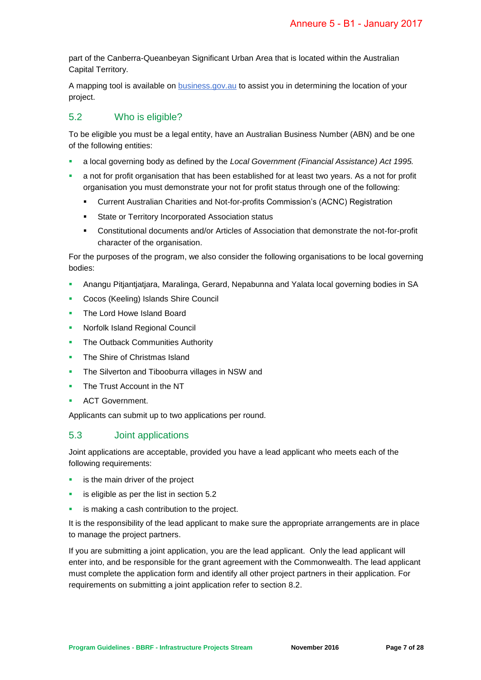part of the Canberra-Queanbeyan Significant Urban Area that is located within the Australian Capital Territory.

A mapping tool is available on business.gov.au to assist you in determining the location of your project.

#### <span id="page-6-0"></span>5.2 Who is eligible?

To be eligible you must be a legal entity, have an Australian Business Number (ABN) and be one of the following entities:

- a local governing body as defined by the *Local Government (Financial Assistance) Act 1995.*
- a not for profit organisation that has been established for at least two years. As a not for profit organisation you must demonstrate your not for profit status through one of the following:
	- Current Australian Charities and Not-for-profits Commission's (ACNC) Registration
	- **State or Territory Incorporated Association status**
	- Constitutional documents and/or Articles of Association that demonstrate the not-for-profit character of the organisation.

For the purposes of the program, we also consider the following organisations to be local governing bodies:

- Anangu Pitjantjatjara, Maralinga, Gerard, Nepabunna and Yalata local governing bodies in SA
- **Cocos (Keeling) Islands Shire Council**
- The Lord Howe Island Board
- Norfolk Island Regional Council
- The Outback Communities Authority
- The Shire of Christmas Island
- **The Silverton and Tibooburra villages in NSW and**
- The Trust Account in the NT
- ACT Government.

Applicants can submit up to two applications per round.

#### 5.3 Joint applications

Joint applications are acceptable, provided you have a lead applicant who meets each of the following requirements:

- **i** is the main driver of the project
- is eligible as per the list in section [5.2](#page-6-0)
- is making a cash contribution to the project.

It is the responsibility of the lead applicant to make sure the appropriate arrangements are in place to manage the project partners.

If you are submitting a joint application, you are the lead applicant. Only the lead applicant will enter into, and be responsible for the grant agreement with the Commonwealth. The lead applicant must complete the application form and identify all other project partners in their application. For requirements on submitting a joint application refer to section [8.2.](#page-16-0)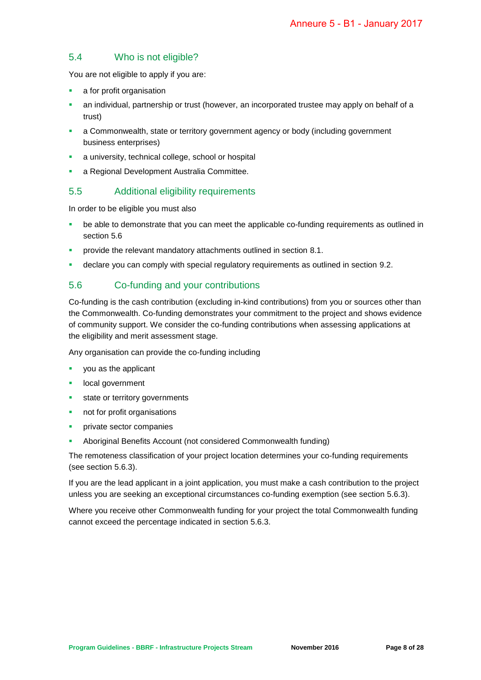#### 5.4 Who is not eligible?

You are not eligible to apply if you are:

- **a** a for profit organisation
- an individual, partnership or trust (however, an incorporated trustee may apply on behalf of a trust)
- a Commonwealth, state or territory government agency or body (including government business enterprises)
- a university, technical college, school or hospital
- **a Regional Development Australia Committee.**

#### 5.5 Additional eligibility requirements

In order to be eligible you must also

- be able to demonstrate that you can meet the applicable co-funding requirements as outlined in section [5.6](#page-7-0)
- provide the relevant mandatory attachments outlined in section [8.1.](#page-15-0)
- declare you can comply with special regulatory requirements as outlined in section [9.2.](#page-17-0)

#### <span id="page-7-0"></span>5.6 Co-funding and your contributions

Co-funding is the cash contribution (excluding in-kind contributions) from you or sources other than the Commonwealth. Co-funding demonstrates your commitment to the project and shows evidence of community support. We consider the co-funding contributions when assessing applications at the eligibility and merit assessment stage.

Any organisation can provide the co-funding including

- you as the applicant
- local government
- state or territory governments
- not for profit organisations
- private sector companies
- Aboriginal Benefits Account (not considered Commonwealth funding)

The remoteness classification of your project location determines your co-funding requirements (see section [5.6.3\)](#page-9-0).

If you are the lead applicant in a joint application, you must make a cash contribution to the project unless you are seeking an exceptional circumstances co-funding exemption (see section [5.6.3\)](#page-9-0).

Where you receive other Commonwealth funding for your project the total Commonwealth funding cannot exceed the percentage indicated in section [5.6.3.](#page-9-0)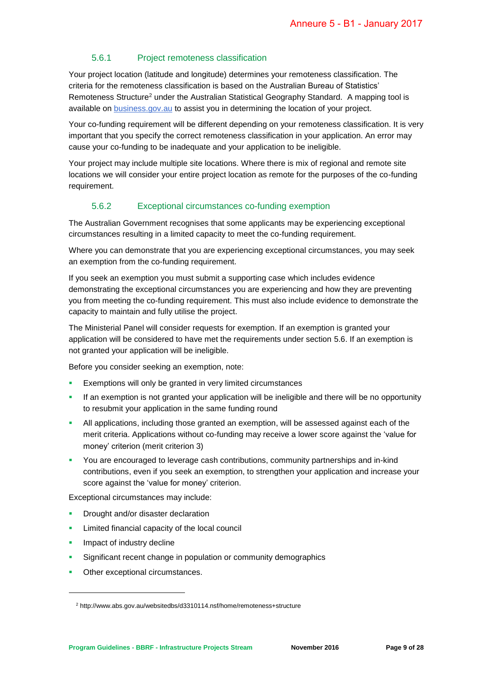#### 5.6.1 Project remoteness classification

Your project location (latitude and longitude) determines your remoteness classification. The criteria for the remoteness classification is based on the Australian Bureau of Statistics' [Remoteness Structure](http://www.abs.gov.au/websitedbs/d3310114.nsf/home/remoteness+structure)<sup>2</sup> under the Australian Statistical Geography Standard. A mapping tool is available on business.gov.au to assist you in determining the location of your project.

Your co-funding requirement will be different depending on your remoteness classification. It is very important that you specify the correct remoteness classification in your application. An error may cause your co-funding to be inadequate and your application to be ineligible.

Your project may include multiple site locations. Where there is mix of regional and remote site locations we will consider your entire project location as remote for the purposes of the co-funding requirement.

#### 5.6.2 Exceptional circumstances co-funding exemption

<span id="page-8-0"></span>The Australian Government recognises that some applicants may be experiencing exceptional circumstances resulting in a limited capacity to meet the co-funding requirement.

Where you can demonstrate that you are experiencing exceptional circumstances, you may seek an exemption from the co-funding requirement.

If you seek an exemption you must submit a supporting case which includes evidence demonstrating the exceptional circumstances you are experiencing and how they are preventing you from meeting the co-funding requirement. This must also include evidence to demonstrate the capacity to maintain and fully utilise the project.

The Ministerial Panel will consider requests for exemption. If an exemption is granted your application will be considered to have met the requirements under section [5.6.](#page-7-0) If an exemption is not granted your application will be ineligible.

Before you consider seeking an exemption, note:

- Exemptions will only be granted in very limited circumstances
- **If an exemption is not granted your application will be ineligible and there will be no opportunity** to resubmit your application in the same funding round
- All applications, including those granted an exemption, will be assessed against each of the merit criteria. Applications without co-funding may receive a lower score against the 'value for money' criterion (merit criterion 3)
- You are encouraged to leverage cash contributions, community partnerships and in-kind contributions, even if you seek an exemption, to strengthen your application and increase your score against the 'value for money' criterion.

Exceptional circumstances may include:

- Drought and/or disaster declaration
- Limited financial capacity of the local council
- **Impact of industry decline**

-

- **Significant recent change in population or community demographics**
- **Other exceptional circumstances.**

<sup>2</sup> http://www.abs.gov.au/websitedbs/d3310114.nsf/home/remoteness+structure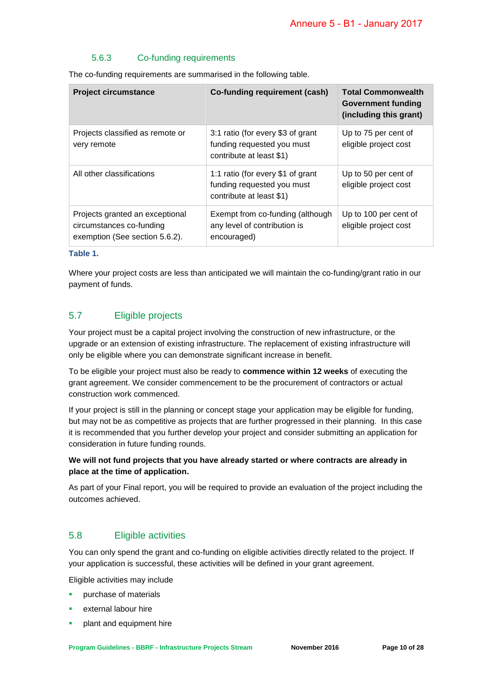#### 5.6.3 Co-funding requirements

<span id="page-9-0"></span>The co-funding requirements are summarised in the following table.

| <b>Project circumstance</b>                                                                   | Co-funding requirement (cash)                                                               | <b>Total Commonwealth</b><br>Government funding<br>(including this grant) |
|-----------------------------------------------------------------------------------------------|---------------------------------------------------------------------------------------------|---------------------------------------------------------------------------|
| Projects classified as remote or<br>very remote                                               | 3:1 ratio (for every \$3 of grant<br>funding requested you must<br>contribute at least \$1) | Up to 75 per cent of<br>eligible project cost                             |
| All other classifications                                                                     | 1:1 ratio (for every \$1 of grant<br>funding requested you must<br>contribute at least \$1) | Up to 50 per cent of<br>eligible project cost                             |
| Projects granted an exceptional<br>circumstances co-funding<br>exemption (See section 5.6.2). | Exempt from co-funding (although<br>any level of contribution is<br>encouraged)             | Up to 100 per cent of<br>eligible project cost                            |

#### **Table 1.**

Where your project costs are less than anticipated we will maintain the co-funding/grant ratio in our payment of funds.

#### 5.7 Eligible projects

Your project must be a capital project involving the construction of new infrastructure, or the upgrade or an extension of existing infrastructure. The replacement of existing infrastructure will only be eligible where you can demonstrate significant increase in benefit.

To be eligible your project must also be ready to **commence within 12 weeks** of executing the grant agreement. We consider commencement to be the procurement of contractors or actual construction work commenced.

If your project is still in the planning or concept stage your application may be eligible for funding, but may not be as competitive as projects that are further progressed in their planning. In this case it is recommended that you further develop your project and consider submitting an application for consideration in future funding rounds.

#### **We will not fund projects that you have already started or where contracts are already in place at the time of application.**

As part of your Final report, you will be required to provide an evaluation of the project including the outcomes achieved.

#### 5.8 Eligible activities

You can only spend the grant and co-funding on eligible activities directly related to the project. If your application is successful, these activities will be defined in your grant agreement.

Eligible activities may include

- purchase of materials
- external labour hire
- plant and equipment hire